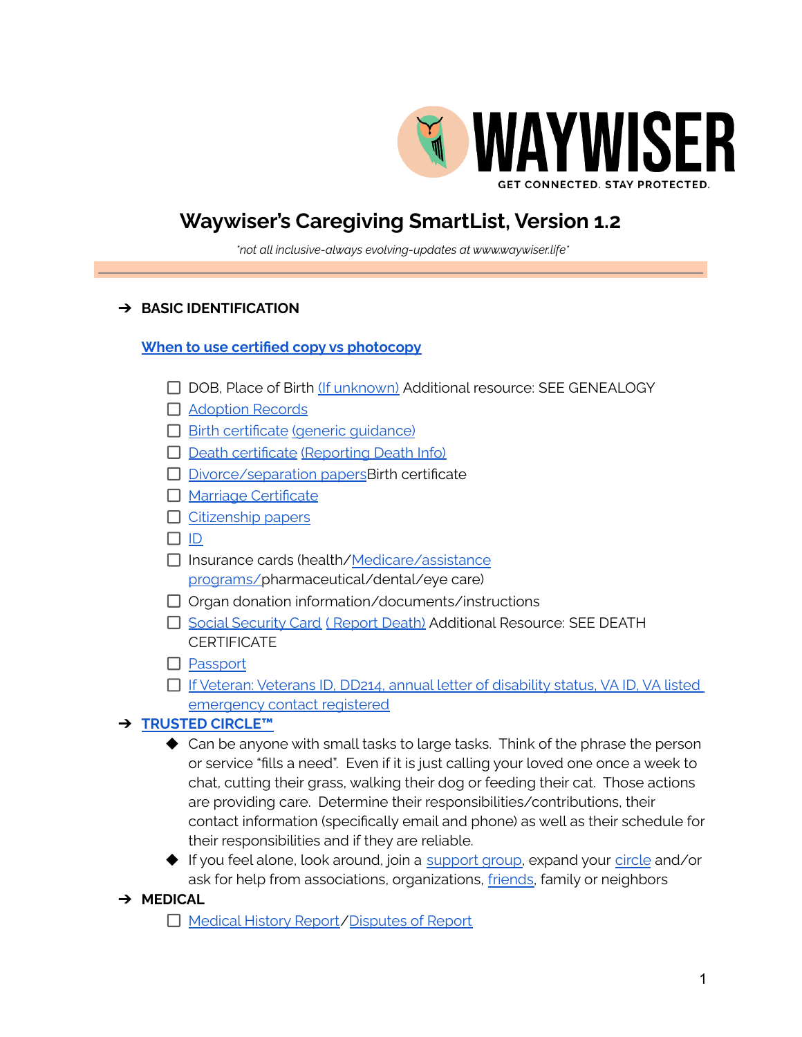

# **Waywiser's Caregiving SmartList, Version 1.2**

*\*not all inclusive-always evolving-updates at www.waywiser.life\**

#### ➔ **BASIC IDENTIFICATION**

#### **When to use certified copy vs [photocopy](https://www.usa.gov/replace-vital-documents#item-214647)**

- □ DOB, Place of Birth (If [unknown\)](https://www.usa.gov/phone) Additional resource: SEE GENEALOGY
- [Adoption](https://www.usa.gov/replace-vital-documents#item-214647) Records
- Birth [certificate](https://www.cdc.gov/nchs/w2w/index.htm) (generic quidance)
- Death [certificate](https://www.usa.gov/replace-vital-documents#item-213420) [\(Reporting](https://www.usa.gov/family-legal#item-214085) Death Info)
- $\Box$  [Divorce/separation](https://www.usa.gov/replace-vital-documents#item-36652) papersBirth certificate
- Marriage [Certificate](https://www.usa.gov/replace-vital-documents#item-212689)
- $\Box$  [Citizenship](https://www.uscis.gov/green-card/after-we-grant-your-green-card/replace-your-green-card) papers
- $\Box$  [ID](https://www.usa.gov/motor-vehicle-services)
- □ Insurance cards (health/[Medicare/assistance](https://www.usa.gov/replace-vital-documents#item-36647) [programs/p](https://www.usa.gov/replace-vital-documents#item-36647)harmaceutical/dental/eye care)
- $\Box$  Organ donation information/documents/instructions
- □ Social [Security](https://www.ssa.gov/ssnumber/#issnrc) Card ( [Report](https://www.usa.gov/about-social-security#item-35137) Death) Additional Resource: SEE DEATH **CERTIFICATE**
- □ [Passport](https://travel.state.gov/content/travel/en/passports/have-passport/lost-stolen.html#replacelost)
- $\Box$  If Veteran: Veterans ID, DD214, annual letter of [disability](https://idco.dmdc.osd.mil/idco/) status, VA ID, VA listed [emergency](https://idco.dmdc.osd.mil/idco/) contact registered

### ➔ **[TRUSTED](https://waywiser.life/trusted-circle/) CIRCLE™**

- ◆ Can be anyone with small tasks to large tasks. Think of the phrase the person or service "fills a need". Even if it is just calling your loved one once a week to chat, cutting their grass, walking their dog or feeding their cat. Those actions are providing care. Determine their responsibilities/contributions, their contact information (specifically email and phone) as well as their schedule for their responsibilities and if they are reliable.
- ◆ If you feel alone, look around, join a [support](https://www.facebook.com/groups/1206339246456967) group, expand your [circle](https://waywiser.life/trusted-circle/) and/or ask for help from associations, organizations, [friends,](https://waywiser.life/wordtothewise/how-to-find-old-friends/) family or neighbors

#### ➔ **MEDICAL**

□ [Medical](https://www.mib.com/request_your_record.html) History Report/[Disputes](https://www.consumerfinance.gov/complaint/) of Report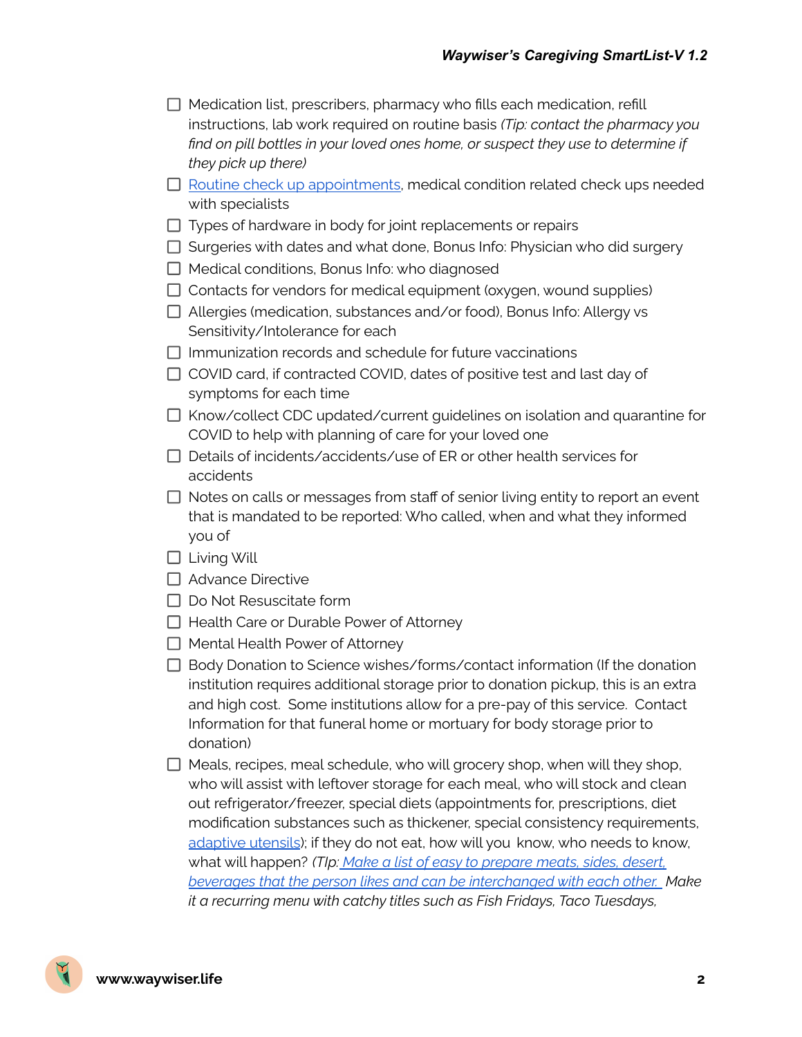- $\Box$  Medication list, prescribers, pharmacy who fills each medication, refill instructions, lab work required on routine basis *(Tip: contact the pharmacy you find on pill bottles in your loved ones home, or suspect they use to determine if they pick up there)*
- $\Box$  Routine check up [appointments,](https://www.aarp.org/health/conditions-treatments/info-2019/how-often-you-should-visit-doctor.html) medical condition related check ups needed with specialists
- $\Box$  Types of hardware in body for joint replacements or repairs
- $\Box$  Surgeries with dates and what done, Bonus Info: Physician who did surgery
- $\Box$  Medical conditions, Bonus Info: who diagnosed
- $\Box$  Contacts for vendors for medical equipment (oxygen, wound supplies)
- □ Allergies (medication, substances and/or food), Bonus Info: Allergy vs Sensitivity/Intolerance for each
- $\Box$  Immunization records and schedule for future vaccinations
- □ COVID card, if contracted COVID, dates of positive test and last day of symptoms for each time
- $\Box$  Know/collect CDC updated/current guidelines on isolation and quarantine for COVID to help with planning of care for your loved one
- □ Details of incidents/accidents/use of ER or other health services for accidents
- $\Box$  Notes on calls or messages from staff of senior living entity to report an event that is mandated to be reported: Who called, when and what they informed you of
- $\Box$  Living Will
- □ Advance Directive
- $\Box$  Do Not Resuscitate form
- $\Box$  Health Care or Durable Power of Attorney
- $\Box$  Mental Health Power of Attorney
- $\Box$  Body Donation to Science wishes/forms/contact information (If the donation institution requires additional storage prior to donation pickup, this is an extra and high cost. Some institutions allow for a pre-pay of this service. Contact Information for that funeral home or mortuary for body storage prior to donation)
- $\Box$  Meals, recipes, meal schedule, who will grocery shop, when will they shop, who will assist with leftover storage for each meal, who will stock and clean out refrigerator/freezer, special diets (appointments for, prescriptions, diet modification substances such as thickener, special consistency requirements, [adaptive](https://waywiser.life/wordtothewise/best-adaptive-utensils/) utensils); if they do not eat, how will you know, who needs to know, what will happen? *(TIp: Make a list of easy to [prepare](https://waywiser.life/wordtothewise/understanding-the-food-groups/) meats, sides, desert, beverages that the person likes and can be [interchanged](https://waywiser.life/wordtothewise/understanding-the-food-groups/) with each other. Make it a recurring menu with catchy titles such as Fish Fridays, Taco Tuesdays,*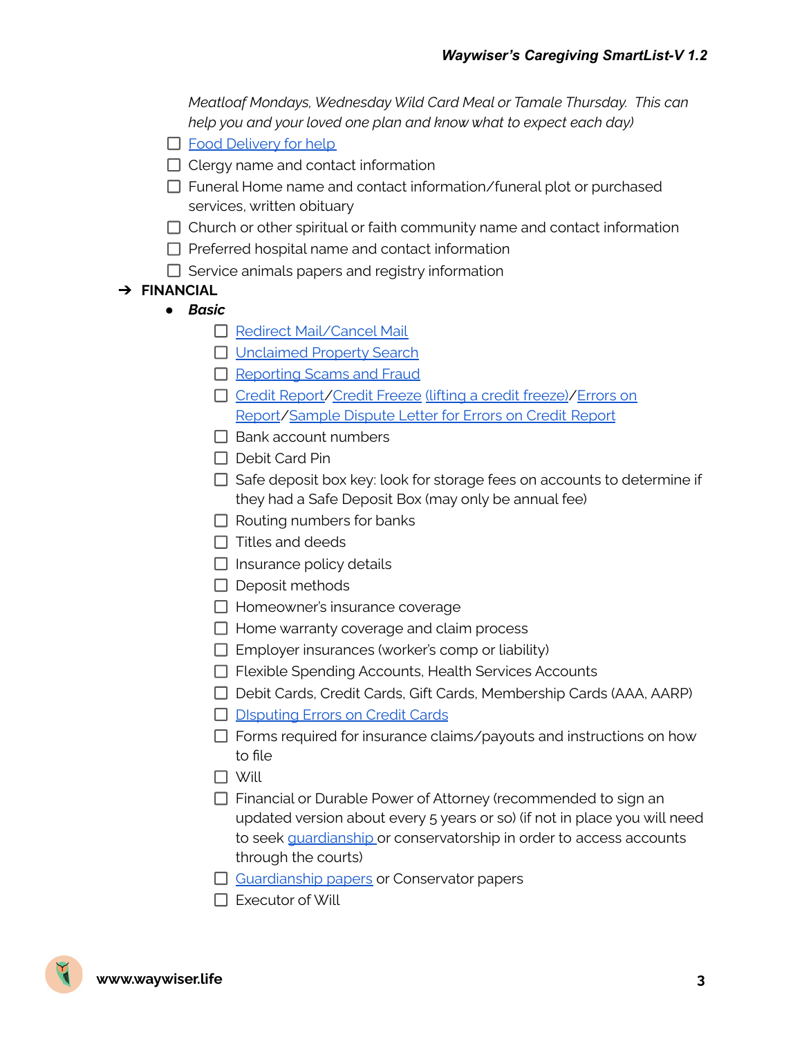*Meatloaf Mondays, Wednesday Wild Card Meal or Tamale Thursday. This can help you and your loved one plan and know what to expect each day)*

- **D** Food [Delivery](https://waywiser.life/wordtothewise/7-favorite-grocery-delivery-apps/) for help
- $\Box$  Clergy name and contact information
- $\Box$  Funeral Home name and contact information/funeral plot or purchased services, written obituary
- $\Box$  Church or other spiritual or faith community name and contact information
- $\Box$  Preferred hospital name and contact information
- $\Box$  Service animals papers and registry information

## ➔ **FINANCIAL**

- *● Basic*
	- Redirect [Mail/Cancel](https://www.usps.com/manage/mail-for-deceased.htm) Mail
	- □ [Unclaimed](https://www.usa.gov/unclaimed-money#item-37222) Property Search
	- [Reporting](https://www.usa.gov/stop-scams-frauds) Scams and Fraud
	- Credit [Report/](https://www.annualcreditreport.com/index.action)Credit [Freeze](https://www.consumer.ftc.gov/articles/what-know-about-credit-freezes-and-fraud-alerts) (lifting a credit [freeze\)](https://www.usa.gov/credit-reports)/[Errors](https://www.consumer.ftc.gov/articles/disputing-errors-your-credit-reports) on [Report](https://www.consumer.ftc.gov/articles/disputing-errors-your-credit-reports)/[Sample](https://www.consumer.ftc.gov/articles/sample-letter-disputing-errors-credit-reports-business-supplied-information) Dispute Letter for Errors on Credit Report
	- $\Box$  Bank account numbers
	- $\Box$  Debit Card Pin
	- $\Box$  Safe deposit box key: look for storage fees on accounts to determine if they had a Safe Deposit Box (may only be annual fee)
	- $\Box$  Routing numbers for banks
	- $\Box$  Titles and deeds
	- $\Box$  Insurance policy details
	- $\Box$  Deposit methods
	- $\Box$  Homeowner's insurance coverage
	- $\Box$  Home warranty coverage and claim process
	- $\Box$  Employer insurances (worker's comp or liability)
	- $\Box$  Flexible Spending Accounts, Health Services Accounts
	- Debit Cards, Credit Cards, Gift Cards, Membership Cards (AAA, AARP)
	- [DIsputing](https://www.consumer.ftc.gov/articles/disputing-errors-your-credit-reports) Errors on Credit Cards
	- $\Box$  Forms required for insurance claims/payouts and instructions on how to file
	- $\Box$  Will
	- □ Financial or Durable Power of Attorney (recommended to sign an updated version about every 5 years or so) (if not in place you will need to seek [guardianship](https://www.agingcare.com/articles/how-to-get-guardianship-of-elderly-parents-140693.htm) or conservatorship in order to access accounts through the courts)
	- [Guardianship](https://waywiser.life/wordtothewise/what-is-a-conservatorship/) papers or Conservator papers
	- $\Box$  Executor of Will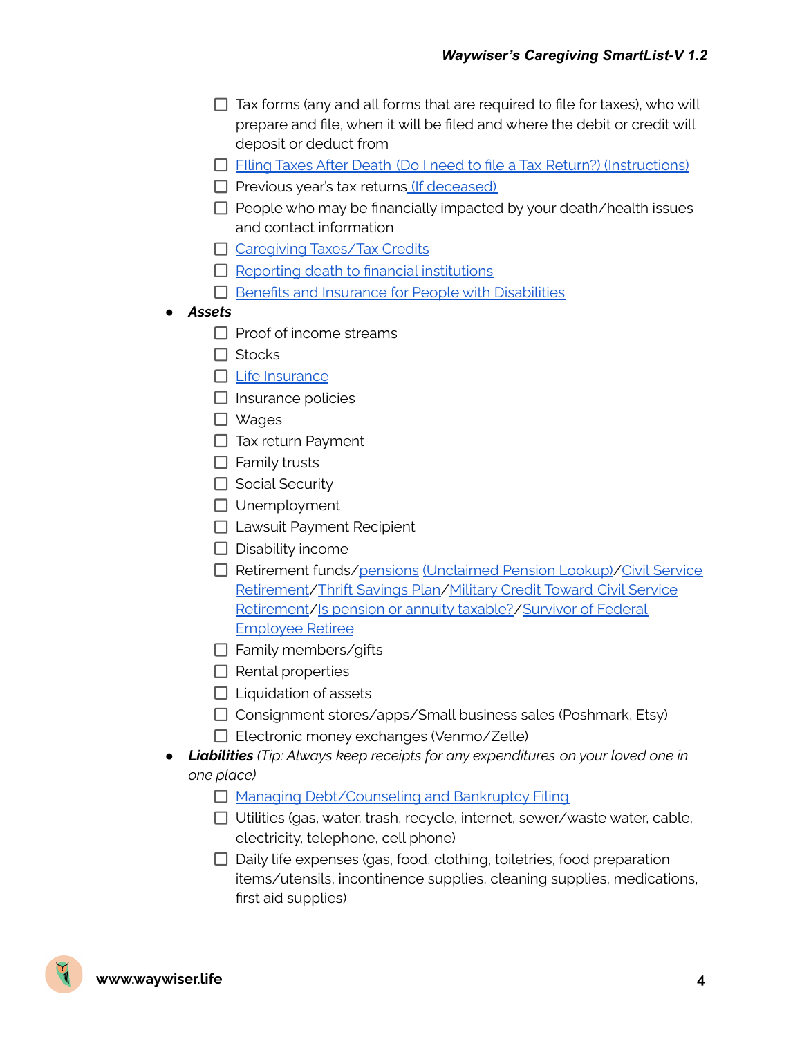- $\Box$  Tax forms (any and all forms that are required to file for taxes), who will prepare and file, when it will be filed and where the debit or credit will deposit or deduct from
- □ Filing Taxes After [Death](https://www.irs.gov/businesses/small-businesses-self-employed/deceased-taxpayers-filing-the-final-returns-of-a-deceased-taxpayer) (Do I need to file a Tax [Return?\)](https://www.irs.gov/help/ita/do-i-need-to-file-a-tax-return) [\(Instructions\)](https://www.irs.gov/help/ita/how-do-i-file-a-deceased-persons-tax-return)
- Previous year's tax returns (If [deceased\)](https://www.irs.gov/businesses/small-businesses-self-employed/deceased-taxpayers-getting-information-from-the-irs)
- $\Box$  People who may be financially impacted by your death/health issues and contact information
- □ [Caregiving](https://waywiser.life/wordtothewise/caregiver-tax-deductions/) Taxes/Tax Credits
- $\Box$  Reporting death to financial [institutions](https://www.usa.gov/family-legal#item-214085)
- $\Box$  Benefits and Insurance for People with [Disabilities](https://www.usa.gov/disability-benefits-insurance)

#### *● Assets*

- $\Box$  Proof of income streams
- $\Box$  Stocks
- **C** Life [Insurance](https://content.naic.org/cipr_topics/topic_life_insurance.htm)
- $\Box$  Insurance policies
- □ Wages
- $\Box$  Tax return Payment
- $\Box$  Family trusts
- $\Box$  Social Security
- □ Unemployment
- $\Box$  Lawsuit Payment Recipient
- $\Box$  Disability income
- Retirement funds[/pensions](https://www.usa.gov/retirement#item-37502) [\(Unclaimed](https://www.pbgc.gov/about/pg/contact/contact-unclaimed) Pension Lookup)/Civil [Service](https://www.opm.gov/retirement-services/) [Retirement](https://www.opm.gov/retirement-services/)/Thrift [Savings](https://www.tsp.gov/) Plan/Military Credit Toward Civil [Service](https://www.opm.gov/retirement-services/fers-information/service-credit/#military) [Retirement](https://www.opm.gov/retirement-services/fers-information/service-credit/#military)/Is pension or annuity [taxable?/](https://www.irs.gov/help/ita/is-my-pension-or-annuity-payment-taxable)[Survivor](https://www.opm.gov/retirement-services/my-annuity-and-benefits/life-events/death/report-of-death/) of Federal [Employee](https://www.opm.gov/retirement-services/my-annuity-and-benefits/life-events/death/report-of-death/) Retiree
- $\Box$  Family members/gifts
- $\Box$  Rental properties
- $\Box$  Liquidation of assets
- $\Box$  Consignment stores/apps/Small business sales (Poshmark, Etsy)
- $\Box$  Electronic money exchanges (Venmo/Zelle)
- *Liabilities (Tip: Always keep receipts for any expenditures on your loved one in one place)*
	- Managing [Debt/Counseling](https://www.usa.gov/debt) and Bankruptcy Filing
	- □ Utilities (gas, water, trash, recycle, internet, sewer/waste water, cable, electricity, telephone, cell phone)
	- $\Box$  Daily life expenses (gas, food, clothing, toiletries, food preparation items/utensils, incontinence supplies, cleaning supplies, medications, first aid supplies)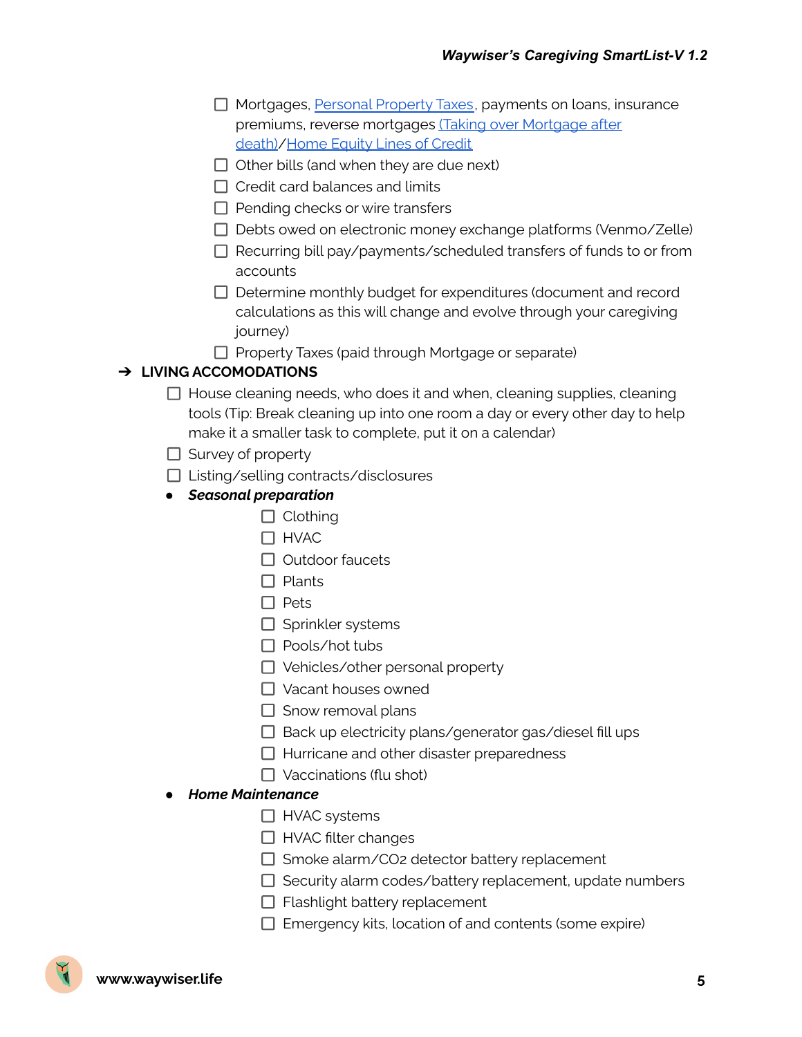- □ Mortgages, [Personal](https://www.usa.gov/family-legal#item-214085) Property Taxes, payments on loans, insurance premiums, reverse mortgages (Taking over [Mortgage](https://www.consumerfinance.gov/about-us/newsroom/cfpb-clarifies-mortgage-lending-rules-to-assist-surviving-family-members/) after [death\)](https://www.consumerfinance.gov/about-us/newsroom/cfpb-clarifies-mortgage-lending-rules-to-assist-surviving-family-members/)/Home [Equity](https://files.consumerfinance.gov/f/201204_CFPB_HELOC-brochure.pdf) Lines of Credit
- $\Box$  Other bills (and when they are due next)
- $\Box$  Credit card balances and limits
- $\Box$  Pending checks or wire transfers
- Debts owed on electronic money exchange platforms (Venmo/Zelle)
- $\Box$  Recurring bill pay/payments/scheduled transfers of funds to or from accounts
- $\Box$  Determine monthly budget for expenditures (document and record calculations as this will change and evolve through your caregiving journey)
- $\Box$  Property Taxes (paid through Mortgage or separate)

## ➔ **LIVING ACCOMODATIONS**

- $\Box$  House cleaning needs, who does it and when, cleaning supplies, cleaning tools (Tip: Break cleaning up into one room a day or every other day to help make it a smaller task to complete, put it on a calendar)
- $\Box$  Survey of property
- □ Listing/selling contracts/disclosures
- *● Seasonal preparation*
	- $\Box$  Clothing
	- $\Box$  HVAC
	- Outdoor faucets
	- $\Box$  Plants
	- $\Box$  Pets
	- $\Box$  Sprinkler systems
	- $\Box$  Pools/hot tubs
	- $\Box$  Vehicles/other personal property
	- Vacant houses owned
	- $\Box$  Snow removal plans
	- $\Box$  Back up electricity plans/generator gas/diesel fill ups
	- $\Box$  Hurricane and other disaster preparedness
	- $\Box$  Vaccinations (flu shot)

#### *● Home Maintenance*

- □ HVAC systems
- $\Box$  HVAC filter changes
- $\Box$  Smoke alarm/CO2 detector battery replacement
- $\Box$  Security alarm codes/battery replacement, update numbers
- $\Box$  Flashlight battery replacement
- $\Box$  Emergency kits, location of and contents (some expire)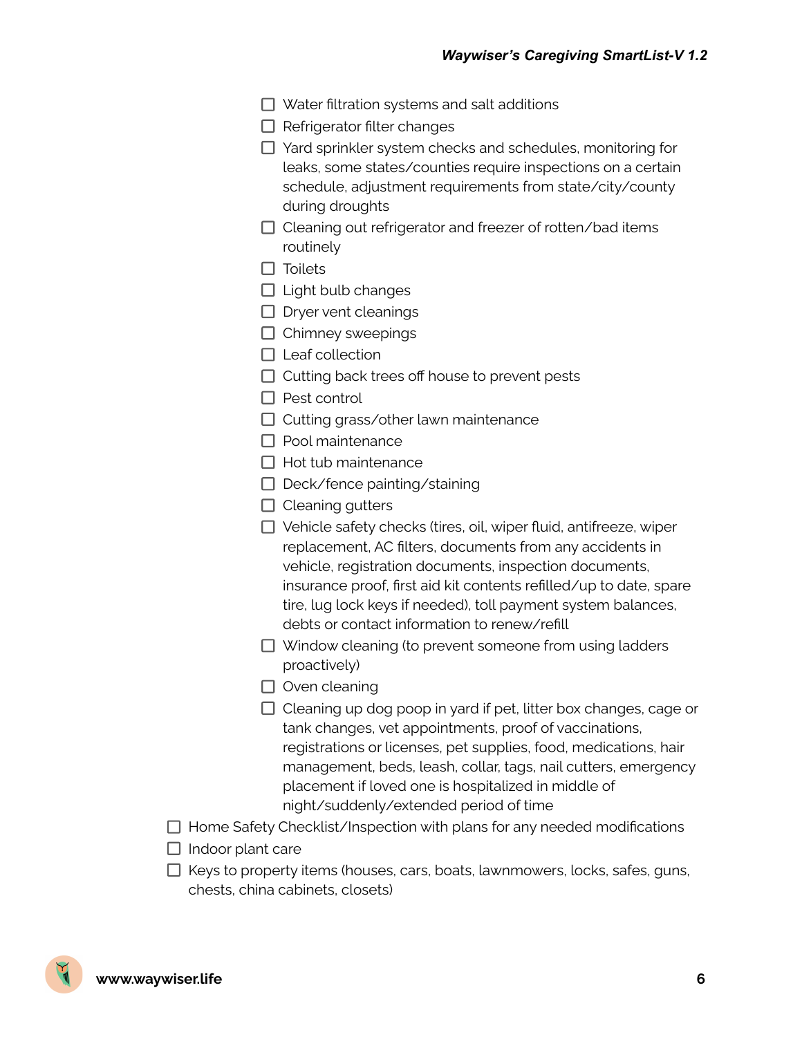|                                                                              | $\Box$ Water filtration systems and salt additions                                                                                                                                                                                                                                                                                                                                    |
|------------------------------------------------------------------------------|---------------------------------------------------------------------------------------------------------------------------------------------------------------------------------------------------------------------------------------------------------------------------------------------------------------------------------------------------------------------------------------|
|                                                                              | Refrigerator filter changes                                                                                                                                                                                                                                                                                                                                                           |
|                                                                              | $\Box$ Yard sprinkler system checks and schedules, monitoring for<br>leaks, some states/counties require inspections on a certain<br>schedule, adjustment requirements from state/city/county<br>during droughts                                                                                                                                                                      |
|                                                                              | $\Box$ Cleaning out refrigerator and freezer of rotten/bad items<br>routinely                                                                                                                                                                                                                                                                                                         |
|                                                                              | Toilets                                                                                                                                                                                                                                                                                                                                                                               |
|                                                                              | $\Box$ Light bulb changes                                                                                                                                                                                                                                                                                                                                                             |
|                                                                              | $\Box$ Dryer vent cleanings                                                                                                                                                                                                                                                                                                                                                           |
|                                                                              | $\Box$ Chimney sweepings                                                                                                                                                                                                                                                                                                                                                              |
|                                                                              | $\Box$ Leaf collection                                                                                                                                                                                                                                                                                                                                                                |
|                                                                              | $\Box$ Cutting back trees off house to prevent pests                                                                                                                                                                                                                                                                                                                                  |
|                                                                              | $\Box$ Pest control                                                                                                                                                                                                                                                                                                                                                                   |
|                                                                              | $\Box$ Cutting grass/other lawn maintenance                                                                                                                                                                                                                                                                                                                                           |
|                                                                              | $\Box$ Pool maintenance                                                                                                                                                                                                                                                                                                                                                               |
|                                                                              | $\Box$ Hot tub maintenance                                                                                                                                                                                                                                                                                                                                                            |
|                                                                              | $\Box$ Deck/fence painting/staining                                                                                                                                                                                                                                                                                                                                                   |
|                                                                              | $\Box$ Cleaning gutters                                                                                                                                                                                                                                                                                                                                                               |
|                                                                              | $\Box$ Vehicle safety checks (tires, oil, wiper fluid, antifreeze, wiper<br>replacement, AC filters, documents from any accidents in<br>vehicle, registration documents, inspection documents,<br>insurance proof, first aid kit contents refilled/up to date, spare<br>tire, lug lock keys if needed), toll payment system balances,<br>debts or contact information to renew/refill |
|                                                                              | $\Box$ Window cleaning (to prevent someone from using ladders                                                                                                                                                                                                                                                                                                                         |
|                                                                              | proactively)                                                                                                                                                                                                                                                                                                                                                                          |
|                                                                              | $\Box$ Oven cleaning                                                                                                                                                                                                                                                                                                                                                                  |
|                                                                              | Cleaning up dog poop in yard if pet, litter box changes, cage or<br>tank changes, vet appointments, proof of vaccinations,<br>registrations or licenses, pet supplies, food, medications, hair<br>management, beds, leash, collar, tags, nail cutters, emergency<br>placement if loved one is hospitalized in middle of<br>night/suddenly/extended period of time                     |
|                                                                              | Home Safety Checklist/Inspection with plans for any needed modifications                                                                                                                                                                                                                                                                                                              |
| Indoor plant care                                                            |                                                                                                                                                                                                                                                                                                                                                                                       |
| Keys to property items (houses, cars, boats, lawnmowers, locks, safes, guns, |                                                                                                                                                                                                                                                                                                                                                                                       |

chests, china cabinets, closets)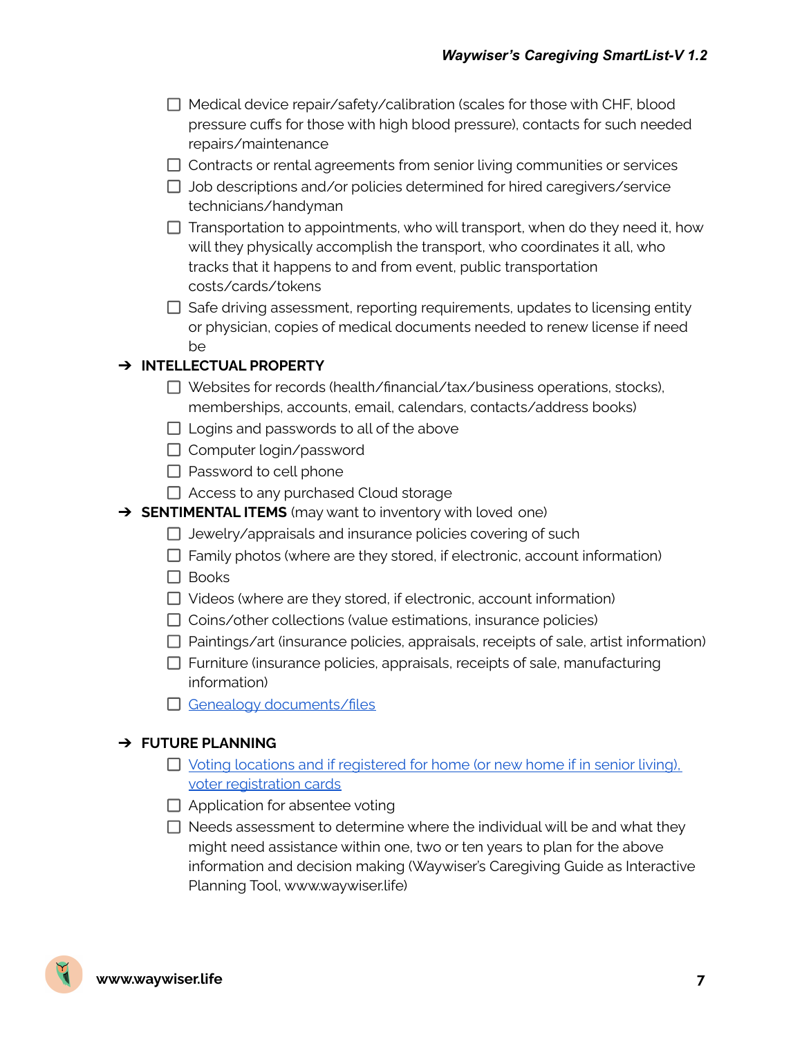- $\Box$  Medical device repair/safety/calibration (scales for those with CHF, blood pressure cuffs for those with high blood pressure), contacts for such needed repairs/maintenance
- $\Box$  Contracts or rental agreements from senior living communities or services
- $\Box$  Job descriptions and/or policies determined for hired caregivers/service technicians/handyman
- $\Box$  Transportation to appointments, who will transport, when do they need it, how will they physically accomplish the transport, who coordinates it all, who tracks that it happens to and from event, public transportation costs/cards/tokens
- $\Box$  Safe driving assessment, reporting requirements, updates to licensing entity or physician, copies of medical documents needed to renew license if need be

# ➔ **INTELLECTUAL PROPERTY**

- □ Websites for records (health/financial/tax/business operations, stocks), memberships, accounts, email, calendars, contacts/address books)
- $\Box$  Logins and passwords to all of the above
- □ Computer login/password
- $\Box$  Password to cell phone
- $\Box$  Access to any purchased Cloud storage
- ➔ **SENTIMENTAL ITEMS** (may want to inventory with loved one)
	- $\Box$  Jewelry/appraisals and insurance policies covering of such
	- $\Box$  Family photos (where are they stored, if electronic, account information)
	- $\Box$  Books
	- $\Box$  Videos (where are they stored, if electronic, account information)
	- $\Box$  Coins/other collections (value estimations, insurance policies)
	- $\Box$  Paintings/art (insurance policies, appraisals, receipts of sale, artist information)
	- $\Box$  Furniture (insurance policies, appraisals, receipts of sale, manufacturing information)
	- Genealogy [documents/files](https://www.usa.gov/genealogy)

# ➔ **FUTURE PLANNING**

- $\Box$  Voting locations and if [registered](https://www.usa.gov/election-office) for home (or new home if in senior living), voter [registration](https://www.usa.gov/election-office) cards
- $\Box$  Application for absentee voting
- $\Box$  Needs assessment to determine where the individual will be and what they might need assistance within one, two or ten years to plan for the above information and decision making (Waywiser's Caregiving Guide as Interactive Planning Tool, www.waywiser.life)